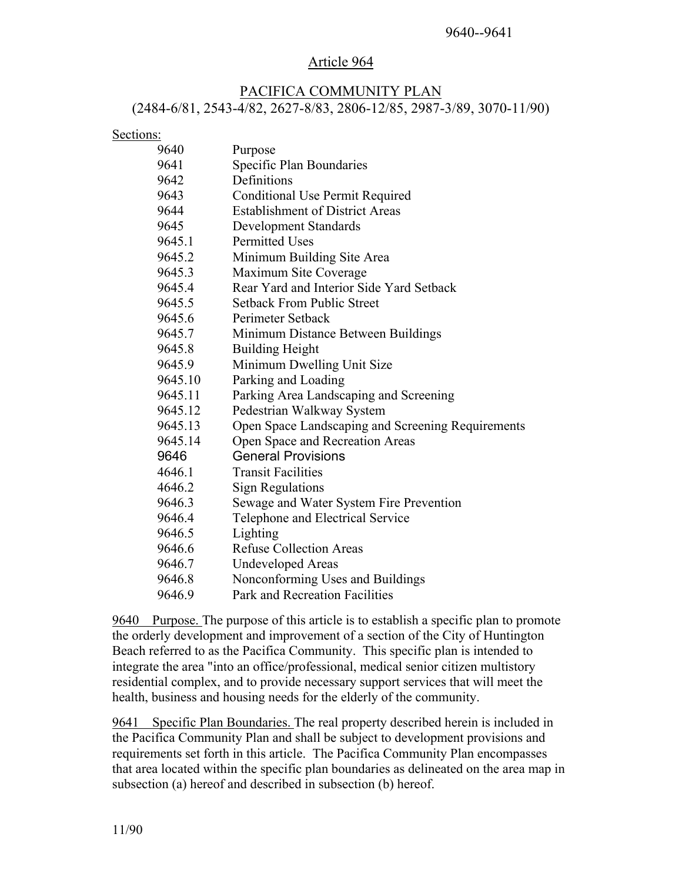## Article 964

## PACIFICA COMMUNITY PLAN (2484-6/81, 2543-4/82, 2627-8/83, 2806-12/85, 2987-3/89, 3070-11/90)

| Sections: |
|-----------|
|           |

| 15.     |                                                   |
|---------|---------------------------------------------------|
| 9640    | Purpose                                           |
| 9641    | Specific Plan Boundaries                          |
| 9642    | Definitions                                       |
| 9643    | <b>Conditional Use Permit Required</b>            |
| 9644    | <b>Establishment of District Areas</b>            |
| 9645    | Development Standards                             |
| 9645.1  | <b>Permitted Uses</b>                             |
| 9645.2  | Minimum Building Site Area                        |
| 9645.3  | Maximum Site Coverage                             |
| 9645.4  | Rear Yard and Interior Side Yard Setback          |
| 9645.5  | <b>Setback From Public Street</b>                 |
| 9645.6  | Perimeter Setback                                 |
| 9645.7  | Minimum Distance Between Buildings                |
| 9645.8  | <b>Building Height</b>                            |
| 9645.9  | Minimum Dwelling Unit Size                        |
| 9645.10 | Parking and Loading                               |
| 9645.11 | Parking Area Landscaping and Screening            |
| 9645.12 | Pedestrian Walkway System                         |
| 9645.13 | Open Space Landscaping and Screening Requirements |
| 9645.14 | Open Space and Recreation Areas                   |
| 9646    | <b>General Provisions</b>                         |
| 4646.1  | <b>Transit Facilities</b>                         |
| 4646.2  | <b>Sign Regulations</b>                           |
| 9646.3  | Sewage and Water System Fire Prevention           |
| 9646.4  | Telephone and Electrical Service                  |
| 9646.5  | Lighting                                          |
| 9646.6  | <b>Refuse Collection Areas</b>                    |
| 9646.7  | <b>Undeveloped Areas</b>                          |
| 9646.8  | Nonconforming Uses and Buildings                  |
| 9646.9  | Park and Recreation Facilities                    |

9640 Purpose. The purpose of this article is to establish a specific plan to promote the orderly development and improvement of a section of the City of Huntington Beach referred to as the Pacifica Community. This specific plan is intended to integrate the area "into an office/professional, medical senior citizen multistory residential complex, and to provide necessary support services that will meet the health, business and housing needs for the elderly of the community.

9641 Specific Plan Boundaries. The real property described herein is included in the Pacifica Community Plan and shall be subject to development provisions and requirements set forth in this article. The Pacifica Community Plan encompasses that area located within the specific plan boundaries as delineated on the area map in subsection (a) hereof and described in subsection (b) hereof.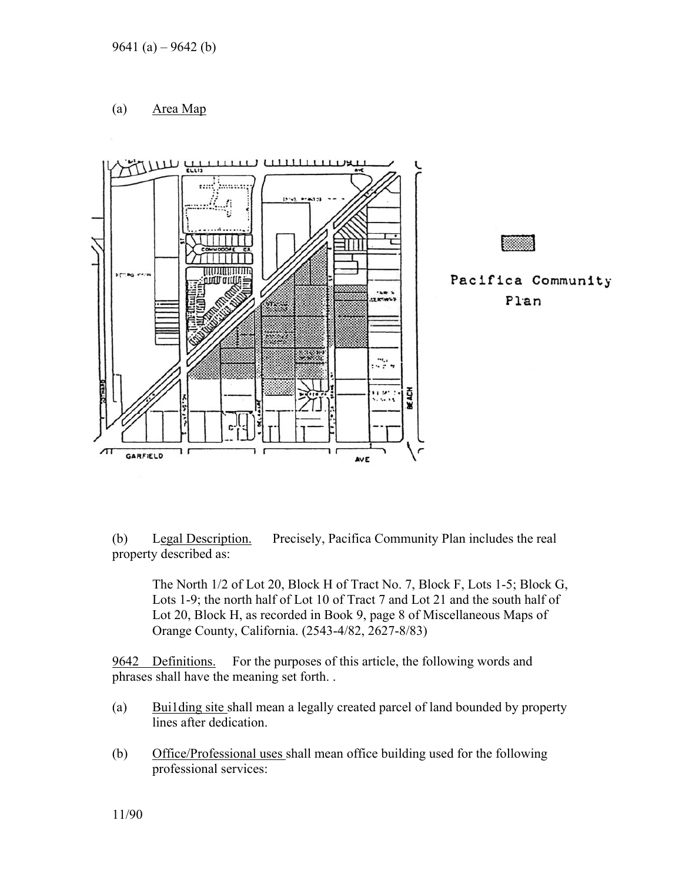#### (a) Area Map



(b) Legal Description. Precisely, Pacifica Community Plan includes the real property described as:

The North 1/2 of Lot 20, Block H of Tract No. 7, Block F, Lots 1-5; Block G, Lots 1-9; the north half of Lot 10 of Tract 7 and Lot 21 and the south half of Lot 20, Block H, as recorded in Book 9, page 8 of Miscellaneous Maps of Orange County, California. (2543-4/82, 2627-8/83)

9642 Definitions. For the purposes of this article, the following words and phrases shall have the meaning set forth. .

- (a) Bui1ding site shall mean a legally created parcel of land bounded by property lines after dedication.
- (b) Office/Professional uses shall mean office building used for the following professional services: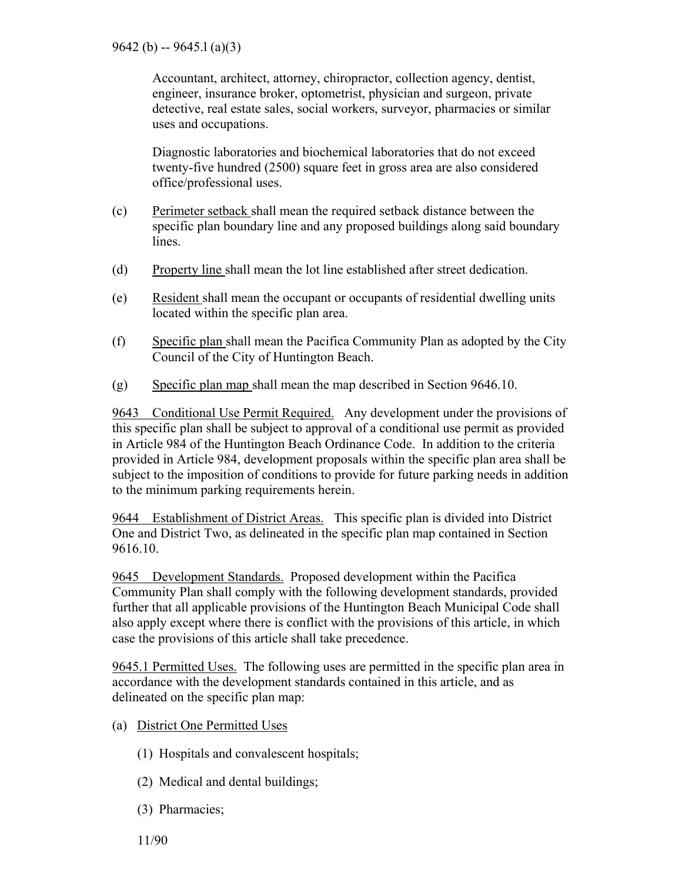9642 (b) -- 9645.1 (a)(3)

Accountant, architect, attorney, chiropractor, collection agency, dentist, engineer, insurance broker, optometrist, physician and surgeon, private detective, real estate sales, social workers, surveyor, pharmacies or similar uses and occupations.

Diagnostic laboratories and biochemical laboratories that do not exceed twenty-five hundred (2500) square feet in gross area are also considered office/professional uses.

- (c) Perimeter setback shall mean the required setback distance between the specific plan boundary line and any proposed buildings along said boundary lines.
- (d) Property line shall mean the lot line established after street dedication.
- (e) Resident shall mean the occupant or occupants of residential dwelling units located within the specific plan area.
- (f) Specific plan shall mean the Pacifica Community Plan as adopted by the City Council of the City of Huntington Beach.
- (g) Specific plan map shall mean the map described in Section 9646.10.

9643 Conditional Use Permit Required. Any development under the provisions of this specific plan shall be subject to approval of a conditional use permit as provided in Article 984 of the Huntington Beach Ordinance Code. In addition to the criteria provided in Article 984, development proposals within the specific plan area shall be subject to the imposition of conditions to provide for future parking needs in addition to the minimum parking requirements herein.

9644 Establishment of District Areas. This specific plan is divided into District One and District Two, as delineated in the specific plan map contained in Section 9616.10.

9645 Development Standards. Proposed development within the Pacifica Community Plan shall comply with the following development standards, provided further that all applicable provisions of the Huntington Beach Municipal Code shall also apply except where there is conflict with the provisions of this article, in which case the provisions of this article shall take precedence.

9645.1 Permitted Uses. The following uses are permitted in the specific plan area in accordance with the development standards contained in this article, and as delineated on the specific plan map:

- (a) District One Permitted Uses
	- (1) Hospitals and convalescent hospitals;
	- (2) Medical and dental buildings;
	- (3) Pharmacies;
	- 11/90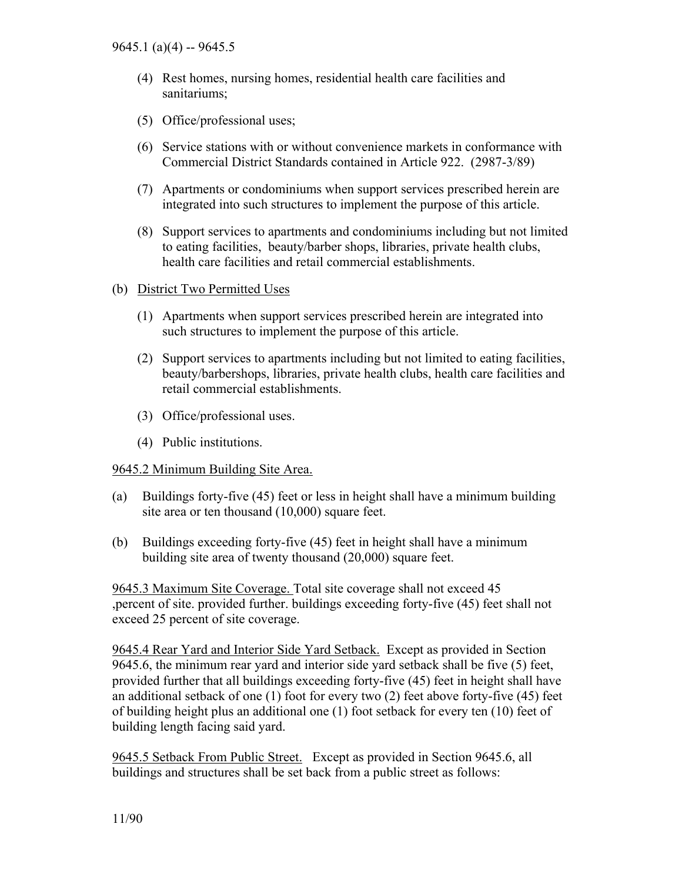- (4) Rest homes, nursing homes, residential health care facilities and sanitariums;
- (5) Office/professional uses;
- (6) Service stations with or without convenience markets in conformance with Commercial District Standards contained in Article 922. (2987-3/89)
- (7) Apartments or condominiums when support services prescribed herein are integrated into such structures to implement the purpose of this article.
- (8) Support services to apartments and condominiums including but not limited to eating facilities, beauty/barber shops, libraries, private health clubs, health care facilities and retail commercial establishments.
- (b) District Two Permitted Uses
	- (1) Apartments when support services prescribed herein are integrated into such structures to implement the purpose of this article.
	- (2) Support services to apartments including but not limited to eating facilities, beauty/barbershops, libraries, private health clubs, health care facilities and retail commercial establishments.
	- (3) Office/professional uses.
	- (4) Public institutions.

#### 9645.2 Minimum Building Site Area.

- (a) Buildings forty-five (45) feet or less in height shall have a minimum building site area or ten thousand (10,000) square feet.
- (b) Buildings exceeding forty-five (45) feet in height shall have a minimum building site area of twenty thousand (20,000) square feet.

9645.3 Maximum Site Coverage. Total site coverage shall not exceed 45 ,percent of site. provided further. buildings exceeding forty-five (45) feet shall not exceed 25 percent of site coverage.

9645.4 Rear Yard and Interior Side Yard Setback. Except as provided in Section 9645.6, the minimum rear yard and interior side yard setback shall be five (5) feet, provided further that all buildings exceeding forty-five (45) feet in height shall have an additional setback of one (1) foot for every two (2) feet above forty-five (45) feet of building height plus an additional one (1) foot setback for every ten (10) feet of building length facing said yard.

9645.5 Setback From Public Street. Except as provided in Section 9645.6, all buildings and structures shall be set back from a public street as follows: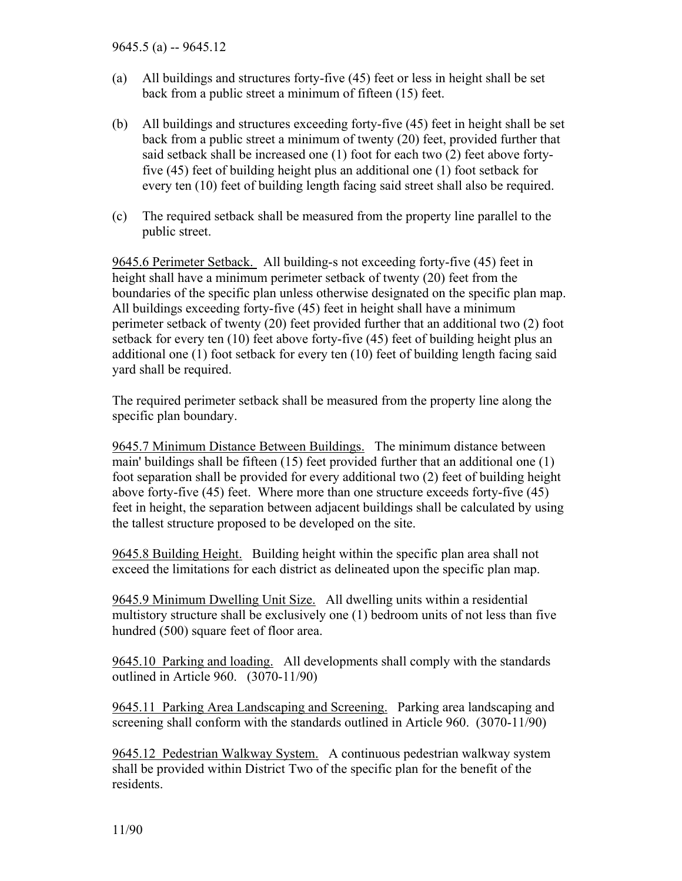- (a) All buildings and structures forty-five (45) feet or less in height shall be set back from a public street a minimum of fifteen (15) feet.
- (b) All buildings and structures exceeding forty-five (45) feet in height shall be set back from a public street a minimum of twenty (20) feet, provided further that said setback shall be increased one (1) foot for each two (2) feet above fortyfive (45) feet of building height plus an additional one (1) foot setback for every ten (10) feet of building length facing said street shall also be required.
- (c) The required setback shall be measured from the property line parallel to the public street.

9645.6 Perimeter Setback. All building-s not exceeding forty-five (45) feet in height shall have a minimum perimeter setback of twenty (20) feet from the boundaries of the specific plan unless otherwise designated on the specific plan map. All buildings exceeding forty-five (45) feet in height shall have a minimum perimeter setback of twenty (20) feet provided further that an additional two (2) foot setback for every ten (10) feet above forty-five (45) feet of building height plus an additional one (1) foot setback for every ten (10) feet of building length facing said yard shall be required.

The required perimeter setback shall be measured from the property line along the specific plan boundary.

9645.7 Minimum Distance Between Buildings. The minimum distance between main' buildings shall be fifteen (15) feet provided further that an additional one (1) foot separation shall be provided for every additional two (2) feet of building height above forty-five (45) feet. Where more than one structure exceeds forty-five (45) feet in height, the separation between adjacent buildings shall be calculated by using the tallest structure proposed to be developed on the site.

9645.8 Building Height. Building height within the specific plan area shall not exceed the limitations for each district as delineated upon the specific plan map.

9645.9 Minimum Dwelling Unit Size. All dwelling units within a residential multistory structure shall be exclusively one (1) bedroom units of not less than five hundred (500) square feet of floor area.

9645.10 Parking and loading. All developments shall comply with the standards outlined in Article 960. (3070-11/90)

9645.11 Parking Area Landscaping and Screening. Parking area landscaping and screening shall conform with the standards outlined in Article 960. (3070-11/90)

9645.12 Pedestrian Walkway System. A continuous pedestrian walkway system shall be provided within District Two of the specific plan for the benefit of the residents.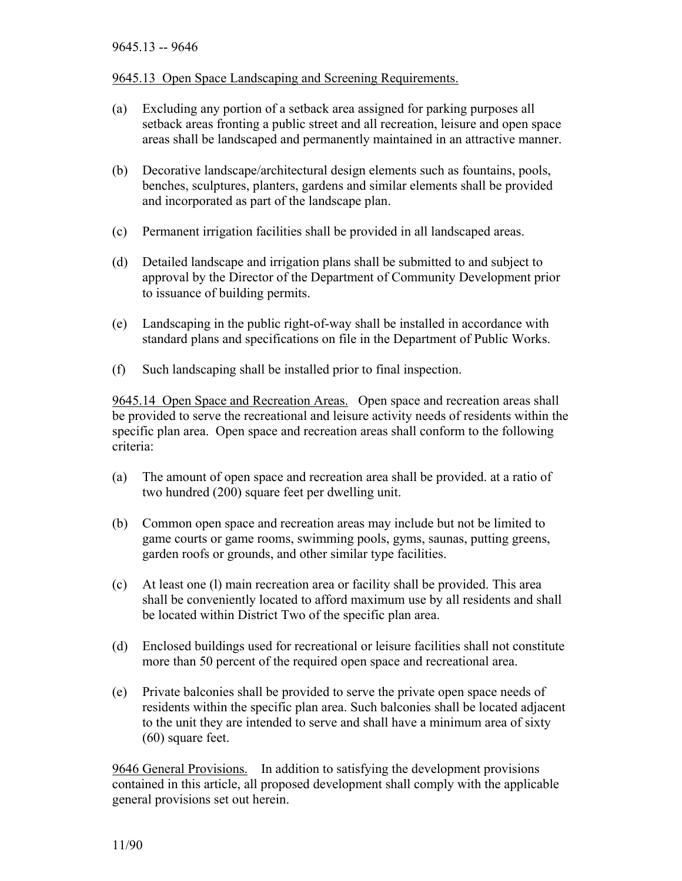### 9645.13 Open Space Landscaping and Screening Requirements.

- (a) Excluding any portion of a setback area assigned for parking purposes all setback areas fronting a public street and all recreation, leisure and open space areas shall be landscaped and permanently maintained in an attractive manner.
- (b) Decorative landscape/architectural design elements such as fountains, pools, benches, sculptures, planters, gardens and similar elements shall be provided and incorporated as part of the landscape plan.
- (c) Permanent irrigation facilities shall be provided in all landscaped areas.
- (d) Detailed landscape and irrigation plans shall be submitted to and subject to approval by the Director of the Department of Community Development prior to issuance of building permits.
- (e) Landscaping in the public right-of-way shall be installed in accordance with standard plans and specifications on file in the Department of Public Works.
- (f) Such landscaping shall be installed prior to final inspection.

9645.14 Open Space and Recreation Areas. Open space and recreation areas shall be provided to serve the recreational and leisure activity needs of residents within the specific plan area. Open space and recreation areas shall conform to the following criteria:

- (a) The amount of open space and recreation area shall be provided. at a ratio of two hundred (200) square feet per dwelling unit.
- (b) Common open space and recreation areas may include but not be limited to game courts or game rooms, swimming pools, gyms, saunas, putting greens, garden roofs or grounds, and other similar type facilities.
- (c) At least one (l) main recreation area or facility shall be provided. This area shall be conveniently located to afford maximum use by all residents and shall be located within District Two of the specific plan area.
- (d) Enclosed buildings used for recreational or leisure facilities shall not constitute more than 50 percent of the required open space and recreational area.
- (e) Private balconies shall be provided to serve the private open space needs of residents within the specific plan area. Such balconies shall be located adjacent to the unit they are intended to serve and shall have a minimum area of sixty (60) square feet.

9646 General Provisions. In addition to satisfying the development provisions contained in this article, all proposed development shall comply with the applicable general provisions set out herein.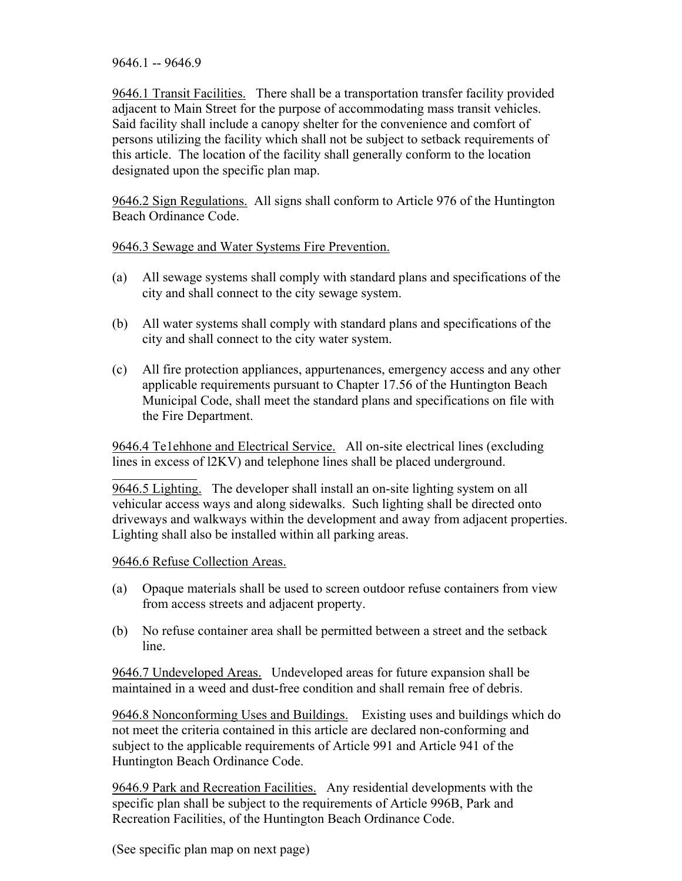9646.1 -- 9646.9

9646.1 Transit Facilities. There shall be a transportation transfer facility provided adjacent to Main Street for the purpose of accommodating mass transit vehicles. Said facility shall include a canopy shelter for the convenience and comfort of persons utilizing the facility which shall not be subject to setback requirements of this article. The location of the facility shall generally conform to the location designated upon the specific plan map.

9646.2 Sign Regulations. All signs shall conform to Article 976 of the Huntington Beach Ordinance Code.

9646.3 Sewage and Water Systems Fire Prevention.

- (a) All sewage systems shall comply with standard plans and specifications of the city and shall connect to the city sewage system.
- (b) All water systems shall comply with standard plans and specifications of the city and shall connect to the city water system.
- (c) All fire protection appliances, appurtenances, emergency access and any other applicable requirements pursuant to Chapter 17.56 of the Huntington Beach Municipal Code, shall meet the standard plans and specifications on file with the Fire Department.

9646.4 Te1ehhone and Electrical Service. All on-site electrical lines (excluding lines in excess of l2KV) and telephone lines shall be placed underground.

9646.5 Lighting. The developer shall install an on-site lighting system on all vehicular access ways and along sidewalks. Such lighting shall be directed onto driveways and walkways within the development and away from adjacent properties. Lighting shall also be installed within all parking areas.

9646.6 Refuse Collection Areas.

- (a) Opaque materials shall be used to screen outdoor refuse containers from view from access streets and adjacent property.
- (b) No refuse container area shall be permitted between a street and the setback line.

9646.7 Undeveloped Areas. Undeveloped areas for future expansion shall be maintained in a weed and dust-free condition and shall remain free of debris.

9646.8 Nonconforming Uses and Buildings. Existing uses and buildings which do not meet the criteria contained in this article are declared non-conforming and subject to the applicable requirements of Article 991 and Article 941 of the Huntington Beach Ordinance Code.

9646.9 Park and Recreation Facilities. Any residential developments with the specific plan shall be subject to the requirements of Article 996B, Park and Recreation Facilities, of the Huntington Beach Ordinance Code.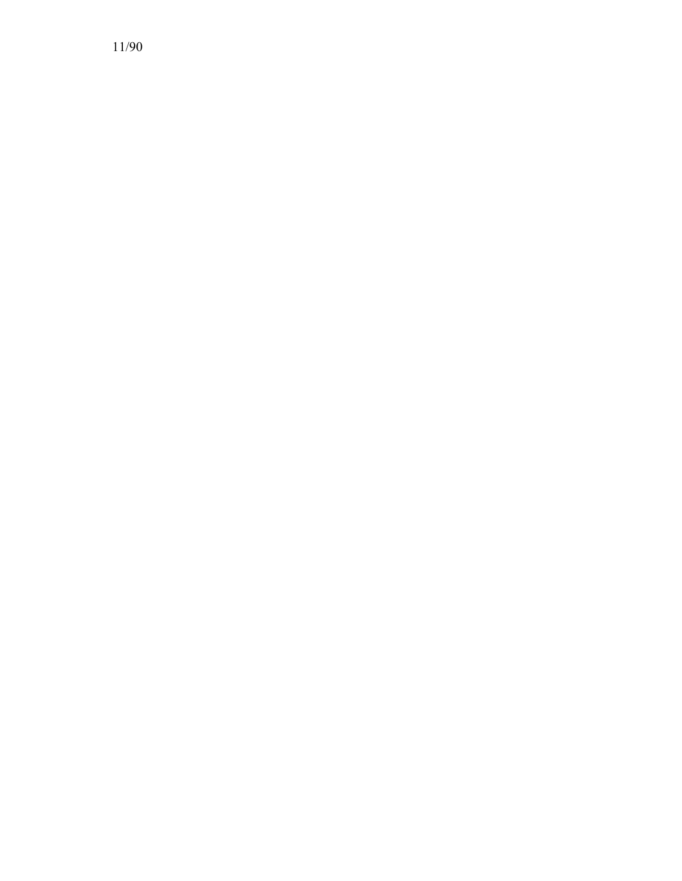11/90